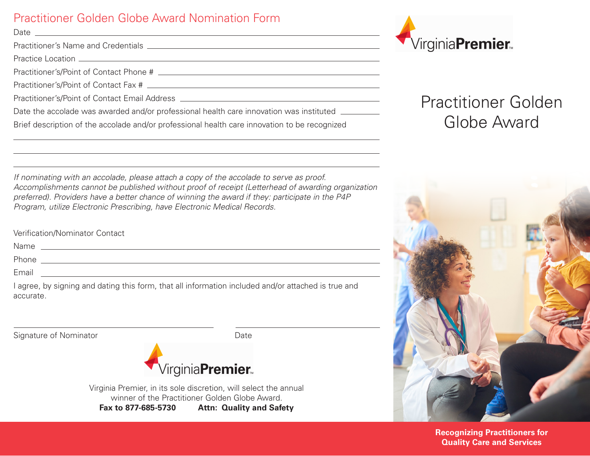### Practitioner Golden Globe Award Nomination Form

Date

Practitioner's Name and Credentials **Community** 2008 and 2008 and 2008 and 2008 and 2008 and 2008 and 2008 and 2008 and 2008 and 2008 and 2008 and 2008 and 2008 and 2008 and 2008 and 2008 and 2008 and 2008 and 2008 and 200

Practice Location **Exercise Construction Construction Construction Construction** 

Practitioner's/Point of Contact Phone #

Practitioner's/Point of Contact Fax #

Practitioner's/Point of Contact Email Address

Date the accolade was awarded and/or professional health care innovation was instituted \_\_\_\_\_\_\_\_\_

Brief description of the accolade and/or professional health care innovation to be recognized



Verification/Nominator Contact

Name that the contract of the contract of the contract of the contract of the contract of the contract of the contract of the contract of the contract of the contract of the contract of the contract of the contract of the

Phone experience and the second contract of the second contract of the second contract of the second contract of the second contract of the second contract of the second contract of the second contract of the second contra

Email **Expanding the Contract of Contract Contract Contract Contract Contract Contract Contract Contract Contract Contract Contract Contract Contract Contract Contract Contract Contract Contract Contract Contract Contract** 

I agree, by signing and dating this form, that all information included and/or attached is true and accurate.

Signature of Nominator **Date** 



Virginia Premier, in its sole discretion, will select the annual winner of the Practitioner Golden Globe Award.

**Fax to 877-685-5730 Attn: Quality and Safety**



# Practitioner Golden Globe Award



**Recognizing Practitioners for Quality Care and Services**